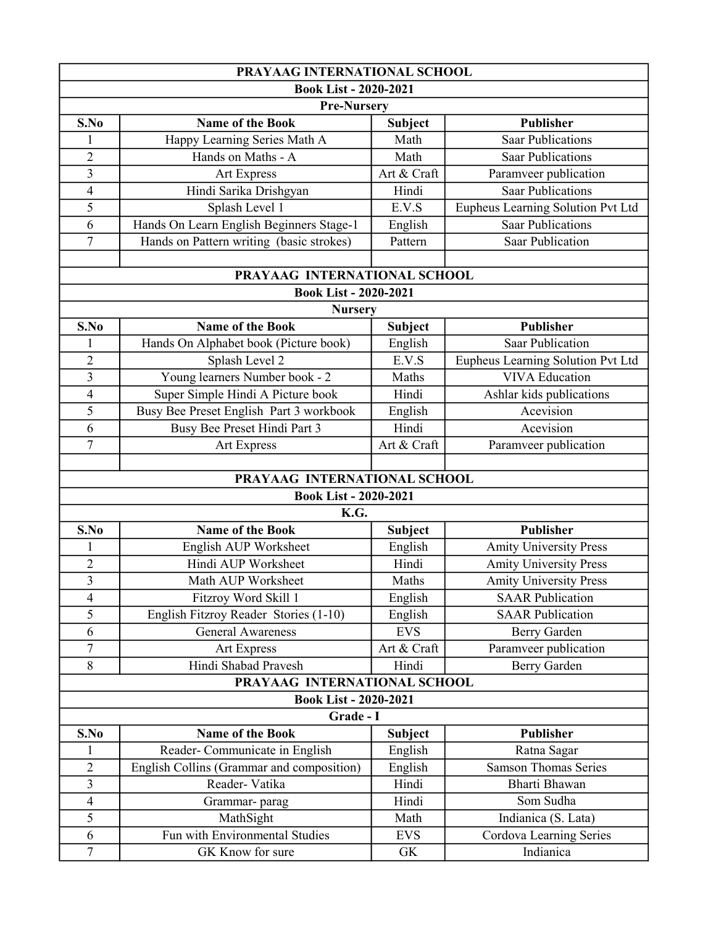| PRAYAAG INTERNATIONAL SCHOOL |                                           |                |                                   |  |
|------------------------------|-------------------------------------------|----------------|-----------------------------------|--|
| <b>Book List - 2020-2021</b> |                                           |                |                                   |  |
| <b>Pre-Nursery</b>           |                                           |                |                                   |  |
| S.No                         | <b>Name of the Book</b>                   | Subject        | <b>Publisher</b>                  |  |
|                              | Happy Learning Series Math A              | Math           | <b>Saar Publications</b>          |  |
| $\overline{2}$               | Hands on Maths - A                        | Math           | <b>Saar Publications</b>          |  |
| $\overline{\mathbf{3}}$      | <b>Art Express</b>                        | Art & Craft    | Paramveer publication             |  |
| 4                            | Hindi Sarika Drishgyan                    | Hindi          | Saar Publications                 |  |
| 5                            | Splash Level 1                            | E.V.S          | Eupheus Learning Solution Pvt Ltd |  |
| 6                            | Hands On Learn English Beginners Stage-1  | English        | <b>Saar Publications</b>          |  |
| $\overline{7}$               | Hands on Pattern writing (basic strokes)  | Pattern        | <b>Saar Publication</b>           |  |
|                              |                                           |                |                                   |  |
|                              | PRAYAAG INTERNATIONAL SCHOOL              |                |                                   |  |
|                              | <b>Book List - 2020-2021</b>              |                |                                   |  |
|                              | <b>Nursery</b>                            |                |                                   |  |
| S.No                         | <b>Name of the Book</b>                   | Subject        | <b>Publisher</b>                  |  |
| $\mathbf{1}$                 | Hands On Alphabet book (Picture book)     | English        | <b>Saar Publication</b>           |  |
| $\overline{2}$               | Splash Level 2                            | E.V.S          | Eupheus Learning Solution Pvt Ltd |  |
| 3                            | Young learners Number book - 2            | Maths          | <b>VIVA</b> Education             |  |
| 4                            | Super Simple Hindi A Picture book         | Hindi          | Ashlar kids publications          |  |
| 5                            | Busy Bee Preset English Part 3 workbook   | English        | Acevision                         |  |
| 6                            | Busy Bee Preset Hindi Part 3              | Hindi          | Acevision                         |  |
| $\overline{7}$               | Art Express                               | Art & Craft    | Paramveer publication             |  |
|                              |                                           |                |                                   |  |
|                              | PRAYAAG INTERNATIONAL SCHOOL              |                |                                   |  |
|                              | <b>Book List - 2020-2021</b>              |                |                                   |  |
|                              | K.G.                                      |                |                                   |  |
| S.No                         | <b>Name of the Book</b>                   | <b>Subject</b> | <b>Publisher</b>                  |  |
| 1                            | English AUP Worksheet                     | English        | <b>Amity University Press</b>     |  |
| $\overline{c}$               | Hindi AUP Worksheet                       | Hindi          | <b>Amity University Press</b>     |  |
| $\overline{3}$               | Math AUP Worksheet                        | Maths          | <b>Amity University Press</b>     |  |
| 4                            | Fitzroy Word Skill 1                      | English        | <b>SAAR Publication</b>           |  |
| 5                            | English Fitzroy Reader Stories (1-10)     | English        | <b>SAAR Publication</b>           |  |
| 6                            | <b>General Awareness</b>                  | <b>EVS</b>     | Berry Garden                      |  |
| $\overline{7}$               | Art Express                               | Art & Craft    | Paramveer publication             |  |
| 8                            | Hindi Shabad Pravesh                      | Hindi          | Berry Garden                      |  |
| PRAYAAG INTERNATIONAL SCHOOL |                                           |                |                                   |  |
| <b>Book List - 2020-2021</b> |                                           |                |                                   |  |
| Grade - I                    |                                           |                |                                   |  |
| S.No                         | Name of the Book                          | <b>Subject</b> | <b>Publisher</b>                  |  |
| 1                            | Reader-Communicate in English             | English        | Ratna Sagar                       |  |
| $\overline{c}$               | English Collins (Grammar and composition) | English        | <b>Samson Thomas Series</b>       |  |
| 3                            | Reader-Vatika                             | Hindi          | Bharti Bhawan                     |  |
| 4                            | Grammar-parag                             | Hindi          | Som Sudha                         |  |
| 5                            | MathSight                                 | Math           | Indianica (S. Lata)               |  |
| 6                            | Fun with Environmental Studies            | <b>EVS</b>     | Cordova Learning Series           |  |
| 7                            | GK Know for sure                          | ${\rm GK}$     | Indianica                         |  |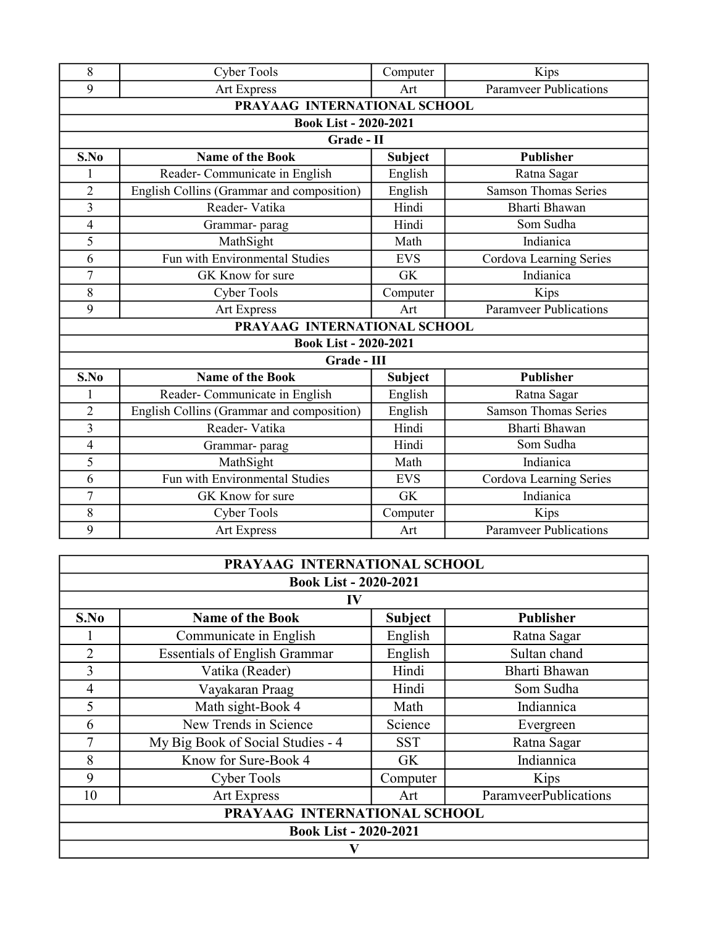| 8                            | <b>Cyber Tools</b>                        | Computer       | Kips                          |
|------------------------------|-------------------------------------------|----------------|-------------------------------|
| 9                            | Art Express                               | Art            | <b>Paramveer Publications</b> |
| PRAYAAG INTERNATIONAL SCHOOL |                                           |                |                               |
| <b>Book List - 2020-2021</b> |                                           |                |                               |
| Grade - II                   |                                           |                |                               |
| S.No                         | <b>Name of the Book</b>                   | <b>Subject</b> | <b>Publisher</b>              |
| 1                            | Reader-Communicate in English             | English        | Ratna Sagar                   |
| $\overline{2}$               | English Collins (Grammar and composition) | English        | <b>Samson Thomas Series</b>   |
| 3                            | Reader-Vatika                             | Hindi          | Bharti Bhawan                 |
| $\overline{4}$               | Grammar-parag                             | Hindi          | Som Sudha                     |
| 5                            | MathSight                                 | Math           | Indianica                     |
| 6                            | Fun with Environmental Studies            | <b>EVS</b>     | Cordova Learning Series       |
| 7                            | GK Know for sure                          | <b>GK</b>      | Indianica                     |
| 8                            | <b>Cyber Tools</b>                        | Computer       | Kips                          |
| 9                            | <b>Art Express</b>                        | Art            | <b>Paramveer Publications</b> |
| PRAYAAG INTERNATIONAL SCHOOL |                                           |                |                               |
| <b>Book List - 2020-2021</b> |                                           |                |                               |
| Grade - III                  |                                           |                |                               |
| S.No                         | <b>Name of the Book</b>                   | <b>Subject</b> | <b>Publisher</b>              |
| 1                            | Reader-Communicate in English             | English        | Ratna Sagar                   |
| $\overline{2}$               | English Collins (Grammar and composition) | English        | <b>Samson Thomas Series</b>   |
| 3                            | Reader-Vatika                             | Hindi          | Bharti Bhawan                 |
| $\overline{4}$               | Grammar-parag                             | Hindi          | Som Sudha                     |
| 5                            | MathSight                                 | Math           | Indianica                     |
| 6                            | Fun with Environmental Studies            | <b>EVS</b>     | Cordova Learning Series       |
| $\overline{7}$               | GK Know for sure                          | <b>GK</b>      | Indianica                     |
| 8                            | <b>Cyber Tools</b>                        | Computer       | Kips                          |
| 9                            | <b>Art Express</b>                        | Art            | <b>Paramveer Publications</b> |

| PRAYAAG INTERNATIONAL SCHOOL |                                      |                |                       |  |
|------------------------------|--------------------------------------|----------------|-----------------------|--|
| <b>Book List - 2020-2021</b> |                                      |                |                       |  |
| IV                           |                                      |                |                       |  |
| S.No                         | <b>Name of the Book</b>              | <b>Subject</b> | <b>Publisher</b>      |  |
|                              | Communicate in English               | English        | Ratna Sagar           |  |
| $\overline{2}$               | <b>Essentials of English Grammar</b> | English        | Sultan chand          |  |
| 3                            | Vatika (Reader)                      | Hindi          | Bharti Bhawan         |  |
| $\overline{4}$               | Vayakaran Praag                      | Hindi          | Som Sudha             |  |
| 5                            | Math sight-Book 4                    | Math           | Indiannica            |  |
| 6                            | New Trends in Science                | Science        | Evergreen             |  |
| 7                            | My Big Book of Social Studies - 4    | <b>SST</b>     | Ratna Sagar           |  |
| 8                            | Know for Sure-Book 4                 | GK             | Indiannica            |  |
| 9                            | <b>Cyber Tools</b>                   | Computer       | Kips                  |  |
| 10                           | <b>Art Express</b>                   | Art            | ParamveerPublications |  |
| PRAYAAG INTERNATIONAL SCHOOL |                                      |                |                       |  |
| <b>Book List - 2020-2021</b> |                                      |                |                       |  |
|                              |                                      |                |                       |  |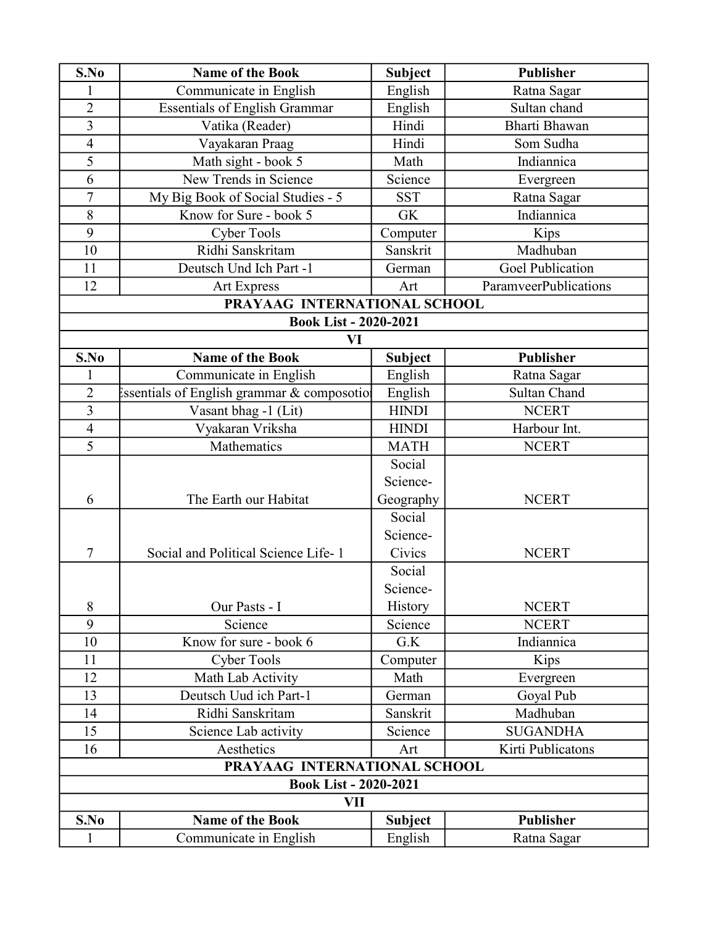| S.No                         | <b>Name of the Book</b>                     | <b>Subject</b> | <b>Publisher</b>             |
|------------------------------|---------------------------------------------|----------------|------------------------------|
| 1                            | Communicate in English                      | English        | Ratna Sagar                  |
| $\overline{2}$               | <b>Essentials of English Grammar</b>        | English        | Sultan chand                 |
| $\overline{3}$               | Vatika (Reader)                             | Hindi          | <b>Bharti Bhawan</b>         |
| $\overline{4}$               | Vayakaran Praag                             | Hindi          | Som Sudha                    |
| 5                            | Math sight - book 5                         | Math           | Indiannica                   |
| 6                            | New Trends in Science                       | Science        | Evergreen                    |
| $\overline{7}$               | My Big Book of Social Studies - 5           | <b>SST</b>     | Ratna Sagar                  |
| 8                            | Know for Sure - book 5                      | <b>GK</b>      | Indiannica                   |
| 9                            | <b>Cyber Tools</b>                          | Computer       | Kips                         |
| 10                           | Ridhi Sanskritam                            | Sanskrit       | Madhuban                     |
| 11                           | Deutsch Und Ich Part -1                     | German         | <b>Goel Publication</b>      |
| 12                           | <b>Art Express</b>                          | Art            | <b>ParamveerPublications</b> |
|                              | PRAYAAG INTERNATIONAL SCHOOL                |                |                              |
|                              | <b>Book List - 2020-2021</b>                |                |                              |
|                              | VI                                          |                |                              |
| S.No                         | <b>Name of the Book</b>                     | <b>Subject</b> | <b>Publisher</b>             |
| 1                            | Communicate in English                      | English        | Ratna Sagar                  |
| $\overline{2}$               | Essentials of English grammar & composotion | English        | Sultan Chand                 |
| $\overline{3}$               | Vasant bhag -1 (Lit)                        | <b>HINDI</b>   | <b>NCERT</b>                 |
| $\overline{4}$               | Vyakaran Vriksha                            | <b>HINDI</b>   | Harbour Int.                 |
| 5                            | Mathematics                                 | <b>MATH</b>    | <b>NCERT</b>                 |
|                              |                                             | Social         |                              |
|                              |                                             | Science-       |                              |
| 6                            | The Earth our Habitat                       | Geography      | <b>NCERT</b>                 |
|                              |                                             | Social         |                              |
|                              |                                             | Science-       |                              |
| 7                            | Social and Political Science Life-1         | Civics         | <b>NCERT</b>                 |
|                              |                                             | Social         |                              |
|                              |                                             | Science-       |                              |
| 8                            | Our Pasts - I                               | History        | <b>NCERT</b>                 |
| 9                            | Science                                     | Science        | <b>NCERT</b>                 |
| 10                           | Know for sure - book 6                      | G.K            | Indiannica                   |
| 11                           | <b>Cyber Tools</b>                          | Computer       | Kips                         |
| 12                           | Math Lab Activity                           | Math           | Evergreen                    |
| 13                           | Deutsch Uud ich Part-1                      | German         | Goyal Pub                    |
| 14                           | Ridhi Sanskritam                            | Sanskrit       | Madhuban                     |
| 15                           | Science Lab activity                        | Science        | <b>SUGANDHA</b>              |
| 16                           | Aesthetics                                  | Art            | Kirti Publicatons            |
|                              | PRAYAAG INTERNATIONAL SCHOOL                |                |                              |
| <b>Book List - 2020-2021</b> |                                             |                |                              |
|                              | VII                                         |                |                              |
| S.No                         | <b>Name of the Book</b>                     | <b>Subject</b> | <b>Publisher</b>             |
| $\mathbf{1}$                 | Communicate in English                      | English        | Ratna Sagar                  |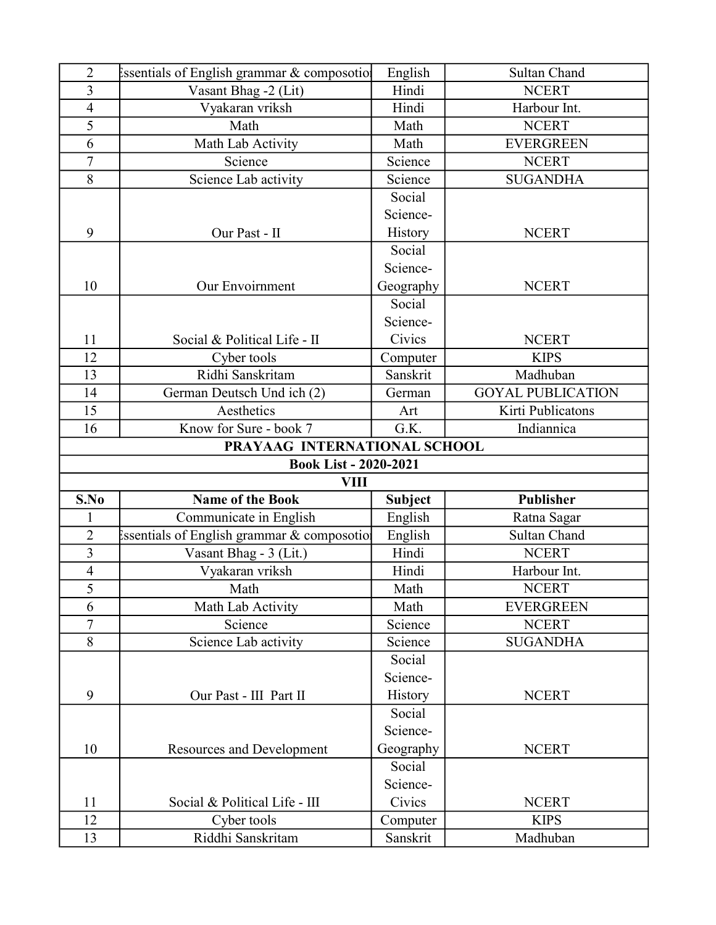| $\overline{2}$               | ssentials of English grammar & composotio | English              | <b>Sultan Chand</b>      |  |
|------------------------------|-------------------------------------------|----------------------|--------------------------|--|
| $\overline{3}$               | Vasant Bhag -2 (Lit)                      | Hindi                | <b>NCERT</b>             |  |
| $\overline{\mathbf{4}}$      | Vyakaran vriksh                           | Hindi                | Harbour Int.             |  |
| 5                            | Math                                      | Math                 | <b>NCERT</b>             |  |
| 6                            | Math Lab Activity                         | Math                 | <b>EVERGREEN</b>         |  |
| $\overline{7}$               | Science                                   | Science              | <b>NCERT</b>             |  |
| 8                            | Science Lab activity                      | Science              | <b>SUGANDHA</b>          |  |
|                              |                                           | Social               |                          |  |
|                              |                                           | Science-             |                          |  |
| 9                            | Our Past - II                             | History              | <b>NCERT</b>             |  |
|                              |                                           | Social               |                          |  |
|                              |                                           | Science-             |                          |  |
| 10                           | Our Envoirnment                           | Geography            | <b>NCERT</b>             |  |
|                              |                                           | Social               |                          |  |
|                              |                                           | Science-             |                          |  |
| 11                           | Social & Political Life - II              | Civics               | <b>NCERT</b>             |  |
| 12                           | Cyber tools                               | Computer             | <b>KIPS</b>              |  |
| 13                           | Ridhi Sanskritam                          | Sanskrit             | Madhuban                 |  |
| 14                           | German Deutsch Und ich (2)                | German               | <b>GOYAL PUBLICATION</b> |  |
| 15                           | Aesthetics                                | Art                  | Kirti Publicatons        |  |
| 16                           | Know for Sure - book 7                    | G.K.                 | Indiannica               |  |
| PRAYAAG INTERNATIONAL SCHOOL |                                           |                      |                          |  |
|                              |                                           |                      |                          |  |
|                              | <b>Book List - 2020-2021</b>              |                      |                          |  |
|                              | VIII                                      |                      |                          |  |
| S.No                         | <b>Name of the Book</b>                   | <b>Subject</b>       | <b>Publisher</b>         |  |
|                              | Communicate in English                    | English              | Ratna Sagar              |  |
| $\overline{2}$               | ssentials of English grammar & composotio | English              | <b>Sultan Chand</b>      |  |
| $\overline{3}$               | Vasant Bhag - 3 (Lit.)                    | Hindi                | <b>NCERT</b>             |  |
| $\overline{\mathbf{4}}$      | Vyakaran vriksh                           | Hindi                | Harbour Int.             |  |
| 5                            | Math                                      | Math                 | <b>NCERT</b>             |  |
| 6                            | Math Lab Activity                         | Math                 | <b>EVERGREEN</b>         |  |
| $\boldsymbol{7}$             | Science                                   | Science              | <b>NCERT</b>             |  |
| 8                            | Science Lab activity                      | Science              | <b>SUGANDHA</b>          |  |
|                              |                                           | Social               |                          |  |
|                              |                                           | Science-             |                          |  |
| 9                            | Our Past - III Part II                    | History              | <b>NCERT</b>             |  |
|                              |                                           | Social               |                          |  |
|                              |                                           | Science-             |                          |  |
| 10                           | <b>Resources and Development</b>          | Geography            | <b>NCERT</b>             |  |
|                              |                                           | Social               |                          |  |
|                              |                                           | Science-             |                          |  |
| 11                           | Social & Political Life - III             | Civics               | <b>NCERT</b>             |  |
| 12<br>13                     | Cyber tools<br>Riddhi Sanskritam          | Computer<br>Sanskrit | <b>KIPS</b><br>Madhuban  |  |